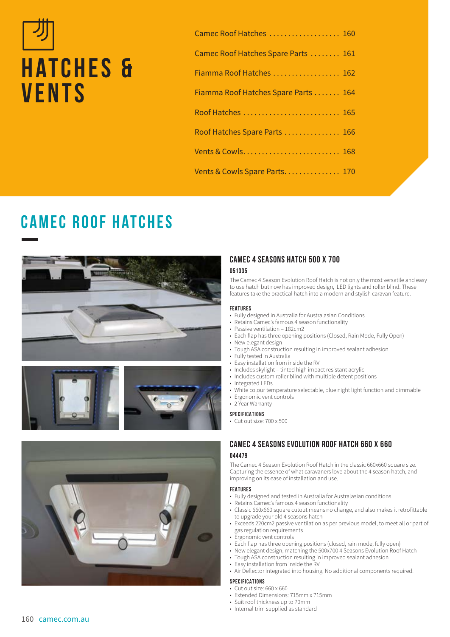# **HATCHES & vents**

| Camec Roof Hatches  160              |  |
|--------------------------------------|--|
| Camec Roof Hatches Spare Parts  161  |  |
| Fiamma Roof Hatches  162             |  |
| Fiamma Roof Hatches Spare Parts  164 |  |
| Roof Hatches  165                    |  |
| Roof Hatches Spare Parts  166        |  |
|                                      |  |
| Vents & Cowls Spare Parts 170        |  |
|                                      |  |

# **Camec Roof Hatches**







# **CAMEC 4 SEASONS HATCH 500 X 700**

#### **051335**

The Camec 4 Season Evolution Roof Hatch is not only the most versatile and easy to use hatch but now has improved design, LED lights and roller blind. These features take the practical hatch into a modern and stylish caravan feature.

#### **FEATURES**

- Fully designed in Australia for Australasian Conditions
- Retains Camec's famous 4 season functionality
- Passive ventilation 182cm2
- Each flap has three opening positions (Closed, Rain Mode, Fully Open)
- New elegant design
- Tough ASA construction resulting in improved sealant adhesion
- Fully tested in Australia
- Easy installation from inside the RV
- Includes skylight tinted high impact resistant acrylic
- Includes custom roller blind with multiple detent positions
- Integrated LEDs
- White colour temperature selectable, blue night light function and dimmable
- Ergonomic vent controls
- 2 Year Warranty

#### **SPECIFICATIONS**

• Cut out size: 700 x 500

# **CAMEC 4 SEASONS EVOLUTION ROOF HATCH 660 X 660 044479**

The Camec 4 Season Evolution Roof Hatch in the classic 660x660 square size. Capturing the essence of what caravaners love about the 4 season hatch, and improving on its ease of installation and use.

#### **FEATURES**

- Fully designed and tested in Australia for Australasian conditions
- Retains Camec's famous 4 season functionality
- Classic 660x660 square cutout means no change, and also makes it retrofittable to upgrade your old 4 seasons hatch
- Exceeds 220cm2 passive ventilation as per previous model, to meet all or part of gas regulation requirements
- Ergonomic vent controls
- Each flap has three opening positions (closed, rain mode, fully open)
- New elegant design, matching the 500x700 4 Seasons Evolution Roof Hatch
- Tough ASA construction resulting in improved sealant adhesion
- Easy installation from inside the RV
- Air Deflector integrated into housing. No additional components required.

#### **SPECIFICATIONS**

- Cut out size: 660 x 660
- Extended Dimensions: 715mm x 715mm
- Suit roof thickness up to 70mm
- Internal trim supplied as standard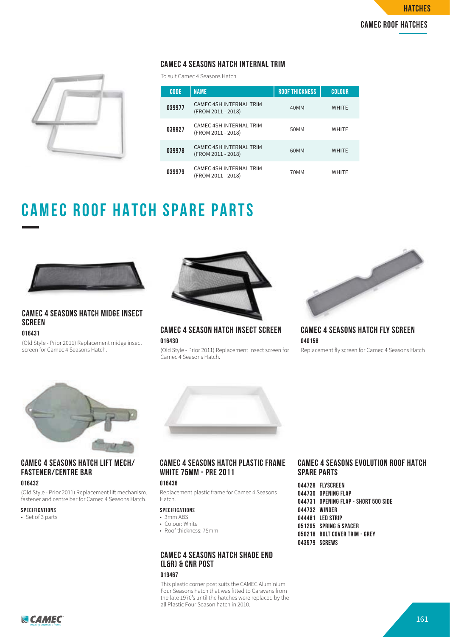# **CAMEC 4 SEASONS HATCH INTERNAL TRIM**

To suit Camec 4 Seasons Hatch.

| τ |  |
|---|--|
|   |  |
|   |  |

| <b>CODE</b> | <b>NAME</b>                                          | <b>ROOF THICKNESS</b> | <b>COLOUR</b> |
|-------------|------------------------------------------------------|-----------------------|---------------|
| 039977      | <b>CAMEC 4SH INTERNAL TRIM</b><br>(FROM 2011 - 2018) | 40MM                  | <b>WHITE</b>  |
| 039927      | CAMEC 4SH INTERNAL TRIM<br>(FROM 2011 - 2018)        | 50MM                  | <b>WHITE</b>  |
| 039978      | <b>CAMEC 4SH INTERNAL TRIM</b><br>(FROM 2011 - 2018) | 60MM                  | <b>WHITE</b>  |
| 039979      | CAMEC 4SH INTERNAL TRIM<br>(FROM 2011 - 2018)        | 70MM                  | <b>WHITE</b>  |

# **CAMEC ROOF HATCH SPARE PARTS**



# **CAMEC 4 SEASONS HATCH MIDGE INSECT SCREEN**

**016431**

(Old Style - Prior 2011) Replacement midge insect screen for Camec 4 Seasons Hatch.



**CAMEC 4 SEASON HATCH INSECT SCREEN 016430**

(Old Style - Prior 2011) Replacement insect screen for Camec 4 Seasons Hatch.



**CAMEC 4 SEASONS HATCH FLY SCREEN 040158**

Replacement fly screen for Camec 4 Seasons Hatch



# **CAMEC 4 SEASONS HATCH LIFT MECH/ FASTENER/CENTRE BAR**

### **016432**

(Old Style - Prior 2011) Replacement lift mechanism, fastener and centre bar for Camec 4 Seasons Hatch.

#### **SPECIFICATIONS**

• Set of 3 parts



# **CAMEC 4 SEASONS HATCH PLASTIC FRAME WHITE 75MM - PRE 2011**

### **016438**

Replacement plastic frame for Camec 4 Seasons Hatch.

# **SPECIFICATIONS**

- 3mm ABS • Colour: White
- Roof thickness: 75mm
- 

# **CAMEC 4 SEASONS HATCH SHADE END (L&R) & CNR POST**

#### **019467**

This plastic corner post suits the CAMEC Aluminium Four Seasons hatch that was fitted to Caravans from the late 1970's until the hatches were replaced by the all Plastic Four Season hatch in 2010.

# **CAMEC 4 SEASONS EVOLUTION ROOF HATCH SPARE PARTS**

**044728 FLYSCREEN 044730 OPENING FLAP 044731 OPENING FLAP - SHORT 500 SIDE 044732 WINDER 044481 LED STRIP 051295 SPRING & SPACER 050218 BOLT COVER TRIM - GREY 043579 SCREWS**

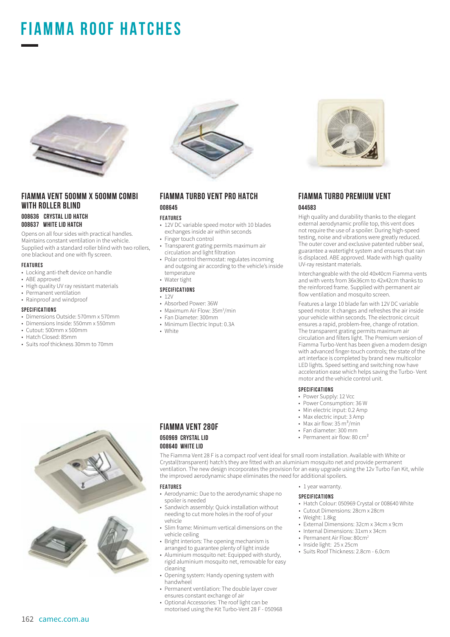# **FIAMMA ROOF HATCHes**



# **FIAMMA VENT 500MM X 500MM COMBI WITH ROLLER BLIND**

**008636 CRYSTAL LID HATCH 008637 WHITE LID HATCH**

Opens on all four sides with practical handles. Maintains constant ventilation in the vehicle. Supplied with a standard roller blind with two rollers, one blackout and one with fly screen.

#### **FEATURES**

- Locking anti-theft device on handle
- ABE approved
- High quality UV ray resistant materials
- Permanent ventilation
- Rainproof and windproof

#### **SPECIFICATIONS**

- Dimensions Outside: 570mm x 570mm
- Dimensions Inside: 550mm x 550mm
- Cutout: 500mm x 500mm<br>• Hatch Closed: 85mm
- Hatch Closed: 85mm
- Suits roof thickness 30mm to 70mm



#### **FIAMMA TURBO VENT PRO HATCH 008645**

#### **FEATURES**

- 12V DC variable speed motor with 10 blades exchanges inside air within seconds
- Finger touch control
- Transparent grating permits maximum air circulation and light filtration
- Polar control thermostat: regulates incoming and outgoing air according to the vehicle's inside temperature • Water tight

#### **SPECIFICATIONS**

- $12V$
- Absorbed Power: 36W
- Maximum Air Flow: 35m<sup>3</sup>/min
- Fan Diameter: 300mm
- Minimum Electric Input: 0.3A
- White



# **FIAMMA VENT 280F 050969 CRYSTAL LID 008640 WHITE LID**

The Fiamma Vent 28 F is a compact roof vent ideal for small room installation. Available with White or Crystal(transparent) hatch's they are fitted with an aluminium mosquito net and provide permanent ventilation. The new design incorporates the provision for an easy upgrade using the 12v Turbo Fan Kit, while the improved aerodynamic shape eliminates the need for additional spoilers.

#### **FEATURES**

- Aerodynamic: Due to the aerodynamic shape no spoiler is needed
- Sandwich assembly: Quick installation without needing to cut more holes in the roof of your vehicle
- Slim frame: Minimum vertical dimensions on the vehicle ceiling
- Bright interiors: The opening mechanism is arranged to guarantee plenty of light inside
- Aluminium mosquito net: Equipped with sturdy,
- rigid aluminium mosquito net, removable for easy cleaning
- Opening system: Handy opening system with handwheel
- Permanent ventilation: The double layer cover ensures constant exchange of air
- Optional Accessories: The roof light can be motorised using the Kit Turbo-Vent 28 F - 050968



## **FIAMMA TURBO PREMIUM VENT 044583**

High quality and durability thanks to the elegant external aerodynamic profile top, this vent does not require the use of a spoiler. During high-speed testing, noise and vibrations were greatly reduced. The outer cover and exclusive patented rubber seal, guarantee a watertight system and ensures that rain is displaced. ABE approved. Made with high quality UV-ray resistant materials.

Interchangeable with the old 40x40cm Fiamma vents and with vents from 36x36cm to 42x42cm thanks to the reinforced frame. Supplied with permanent air flow ventilation and mosquito screen.

Features a large 10 blade fan with 12V DC variable speed motor. It changes and refreshes the air inside your vehicle within seconds. The electronic circuit ensures a rapid, problem-free, change of rotation. The transparent grating permits maximum air circulation and filters light. The Premium version of Fiamma Turbo-Vent has been given a modern design with advanced finger-touch controls; the state of the art interface is completed by brand new multicolor LED lights. Speed setting and switching now have acceleration ease which helps saving the Turbo- Vent motor and the vehicle control unit.

#### **SPECIFICATIONS**

- Power Supply: 12 Vcc
- Power Consumption: 36 W
- Min electric input: 0.2 Amp
- Max electric input: 3 Amp
- Max air flow:  $35 \text{ m}^3/\text{min}$
- Fan diameter: 300 mm
- Permanent air flow: 80 cm<sup>2</sup>
- 1 year warranty.

#### **SPECIFICATIONS**

- Hatch Colour: 050969 Crystal or 008640 White
- Cutout Dimensions: 28cm x 28cm
- Weight: 1.8kg
- External Dimensions: 32cm x 34cm x 9cm
- Internal Dimensions: 31xm x 34cm
- Permanent Air Flow: 80cm<sup>2</sup>
- Inside light: 25 x 25cm
- Suits Roof Thickness: 2.8cm 6.0cm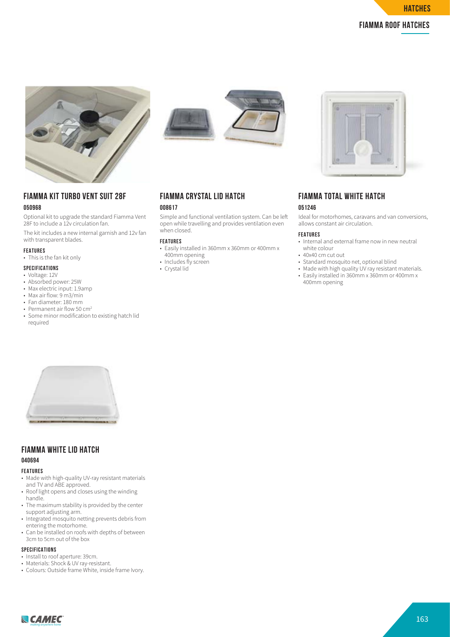





# **FIAMMA KIT TURBO VENT SUIT 28F**

# **050968**

Optional kit to upgrade the standard Fiamma Vent 28F to include a 12v circulation fan.

The kit includes a new internal garnish and 12v fan with transparent blades.

#### **FEATURES**

• This is the fan kit only

#### **SPECIFICATIONS**

- Voltage: 12V
- Absorbed power: 25W
- Max electric input: 1.9amp
- Max air flow: 9 m3/min
- Fan diameter: 180 mm
- Permanent air flow 50 cm<sup>2</sup>
- Some minor modification to existing hatch lid required



### **FIAMMA CRYSTAL LID HATCH 008617**

Simple and functional ventilation system. Can be le open while travelling and provides ventilation even when closed.

#### **FEATURES**

- Easily installed in 360mm x 360mm or 400mm x 400mm opening
- Includes fly screen
- Crystal lid



### **FIAMMA TOTAL WHITE HATCH 051246**

Ideal for motorhomes, caravans and van conversions, allows constant air circulation.

#### **FEATURES**

- Internal and external frame now in new neutral white colour
- 40x40 cm cut out
- Standard mosquito net, optional blind
- Made with high quality UV ray resistant materials. • Easily installed in 360mm x 360mm or 400mm x
- 400mm opening



# **FIAMMA WHITE LID HATCH**

# **040694**

#### **FEATURES**

- Made with high-quality UV-ray resistant materials and TV and ABE approved.
- Roof light opens and closes using the winding handle.
- The maximum stability is provided by the center support adjusting arm.
- Integrated mosquito netting prevents debris from entering the motorhome.
- Can be installed on roofs with depths of between 3cm to 5cm out of the box

#### **SPECIFICATIONS**

- Install to roof aperture: 39cm.
- Materials: Shock & UV ray-resistant.
- Colours: Outside frame White, inside frame Ivory.

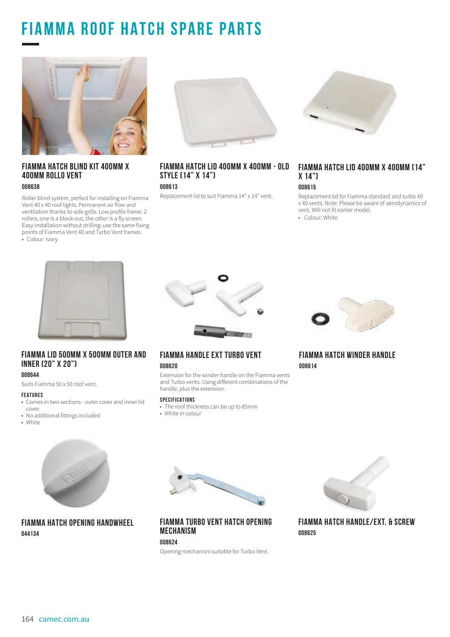# **FIAMMA ROOF HATCH SPARE PARTS**



### **FIAMMA HATCH BLIND KIT 400MM X 400MM ROLLO VENT 008638**

Roller blind system, perfect for installing on Fiamma Vent 40 x 40 roof lights. Permanent air flow and ventilation thanks to side grills. Low profile frame. 2 rollers, one is a block-out, the other is a fly screen. Easy installation without drilling: use the same fixing points of Fiamma Vent 40 and Turbo Vent frames. • Colour: Ivory



# **FIAMMA HATCH LID 400MM X 400MM - OLD STYLE (14" X 14")**

#### **008613**

Replacement lid to suit Fiamma 14" x 14" vent.



# **FIAMMA HATCH LID 400MM X 400MM (14" X 14")**

#### **008615**

Replacement lid for Fiamma standard and turbo 40 x 40 vents. Note: Please be aware of aerodynamics of vent. Will not fit earlier model.

• Colour: White



# **FIAMMA LID 500MM X 500MM OUTER AND INNER (20" X 20")**

#### **008644**

Suits Fiamma 50 x 50 roof vent.

- **FEATURES**
- Comes in two sections outer cover and inner lid cover
- No additional fittings included
- White



**FIAMMA HANDLE EXT TURBO VENT** 

#### **008620**

Extension for the winder handle on the Fiamma vents and Turbo vents. Using different combinations of the handle, plus the extension.

#### **SPECIFICATIONS**

• The roof thickness can be up to 85mm • White in colour



**FIAMMA HATCH WINDER HANDLE 008614**



# **FIAMMA HATCH OPENING HANDWHEEL 044134**



**FIAMMA TURBO VENT HATCH OPENING MECHANISM**

# **008624**

Opening mechanism suitable for Turbo Vent.



**FIAMMA HATCH HANDLE/EXT. & SCREW 008625**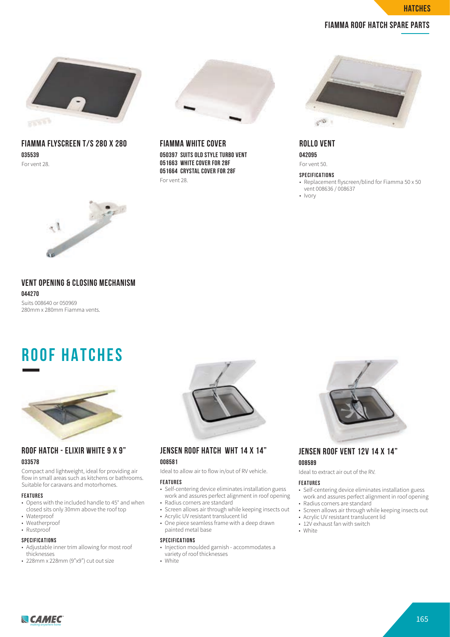**hatches**

# **FIAMMA ROOF HATCH SPARE PARTS**



**FIAMMA FLYSCREEN T/S 280 X 280 035539** For vent 28.



**FIAMMA WHITE COVER 050397 SUITS OLD STYLE TURBO VENT 051663 WHITE COVER FOR 28F 051664 CRYSTAL COVER FOR 28F** For vent 28.



**ROLLO VENT 042095**

For vent 50.

#### **SPECIFICATIONS**

- Replacement flyscreen/blind for Fiamma 50 x 50 vent 008636 / 008637
- Ivory



# **VENT OPENING & CLOSING MECHANISM 044270**

Suits 008640 or 050969 280mm x 280mm Fiamma vents.

# **ROOF HATCHes**



### **ROOF HATCH - ELIXIR WHITE 9 X 9" 033578**

Compact and lightweight, ideal for providing air flow in small areas such as kitchens or bathrooms. Suitable for caravans and motorhomes.

#### **FEATURES**

- Opens with the included handle to 45° and when closed sits only 30mm above the roof top
- Waterproof
- Weatherproof • Rustproof
- **SPECIFICATIONS**
- Adjustable inner trim allowing for most roof
- thicknesses
- 228mm x 228mm (9"x9") cut out size



# **JENSEN ROOF HATCH WHT 14 X 14" 008581**

Ideal to allow air to flow in/out of RV vehicle.

#### **FEATURES**

- Self-centering device eliminates installation guess work and assures perfect alignment in roof opening
- Radius corners are standard • Screen allows air through while keeping insects out
- Acrylic UV resistant translucent lid
- One piece seamless frame with a deep drawn painted metal base

#### **SPECIFICATIONS**

- Injection moulded garnish accommodates a variety of roof thicknesses
- White



# **JENSEN ROOF VENT 12V 14 X 14" 008589**

Ideal to extract air out of the RV.

#### **FEATURES**

- Self-centering device eliminates installation guess work and assures perfect alignment in roof opening • Radius corners are standard
- 
- Screen allows air through while keeping insects out • Acrylic UV resistant translucent lid
- 12V exhaust fan with switch
- 

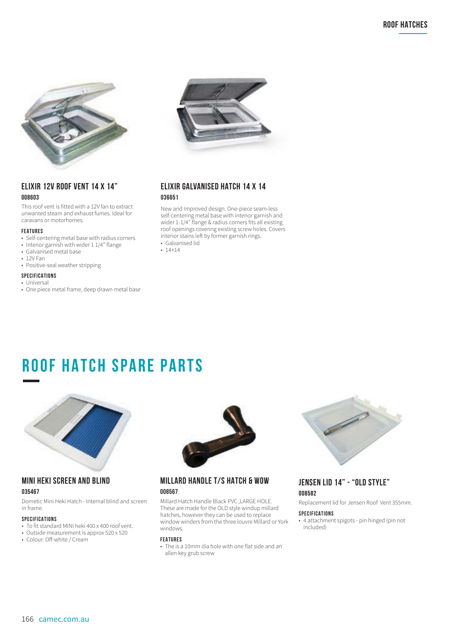

# **ELIXIR 12V ROOF VENT 14 X 14" 008603**

This roof vent is fitted with a 12V fan to extract unwanted steam and exhaust fumes. Ideal for caravans or motorhomes.

#### **FEATURES**

- Self-centering metal base with radius corners
- Interior garnish with wider 1 1/4" flange
- Galvanised metal base
- 12V Fan
- Positive-seal weather stripping

#### **SPECIFICATIONS**

- Universal
- One piece metal frame, deep drawn metal base



# **ELIXIR GALVANISED HATCH 14 X 14 036651**

New and Improved design. One-piece seam-less self-centering metal base with interior garnish and wider 1-1/4″ flange & radius corners fits all existing roof openings covering existing screw holes. Covers interior stains left by former garnish rings.

• Galvanised lid • 14×14

# **ROOF HATCH SPARE PARTS**



#### **MINI HEKI SCREEN AND BLIND 035467**

Dometic Mini Heki Hatch - Internal blind and screen in frame.

#### **SPECIFICATIONS**

- To fit standard MINI heki 400 x 400 roof vent.
- Outside measurement is approx 520 x 520
- Colour: Off-white / Cream



# **MILLARD HANDLE T/S HATCH & WOW 008567**

Millard Hatch Handle Black PVC ,LARGE HOLE. These are made for the OLD style windup millard hatches, however they can be used to replace window winders from the three louvre Millard or York windows.

#### **FEATURES**

• The is a 10mm dia hole with one flat side and an allen key grub screw



# **JENSEN LID 14" - "OLD STYLE" 008582**

Replacement lid for Jensen Roof Vent 355mm.

#### **SPECIFICATIONS**

• 4 attachment spigots - pin hinged (pin not included)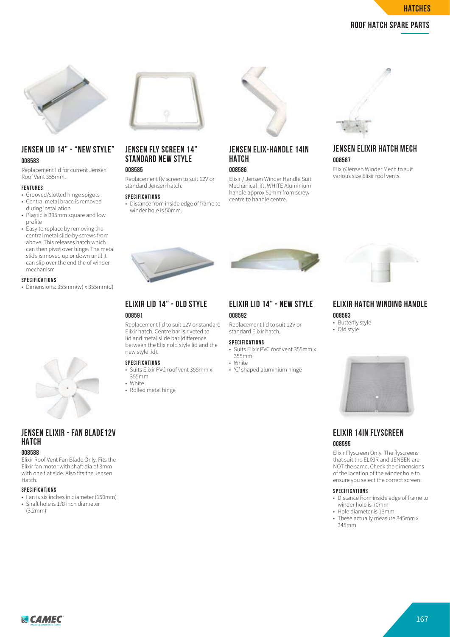

# **ROOF HATCH SPARE PARTS**



# **JENSEN LID 14" - "NEW STYLE" 008583**

Replacement lid for current Jensen Roof Vent 355mm.

#### **FEATURES**

- Grooved/slotted hinge spigots • Central metal brace is removed during installation
- Plastic is 335mm square and low profile
- Easy to replace by removing the central metal slide by screws from above. This releases hatch which can then pivot over hinge. The metal slide is moved up or down until it can slip over the end the of winder mechanism

#### **SPECIFICATIONS**

• Dimensions: 355mm(w) x 355mm(d)



# **JENSEN ELIXIR - FAN BLADE12V HATCH**

#### **008588**

Elixir Roof Vent Fan Blade Only. Fits the Elixir fan motor with shaft dia of 3mm with one flat side. Also fits the Jensen Hatch.

#### **SPECIFICATIONS**

- Fan is six inches in diameter (150mm) • Shaft hole is 1/8 inch diameter
- (3.2mm)



# **JENSEN FLY SCREEN 14" STANDARD NEW STYLE**

# **008585**

Replacement fly screen to suit 12V or standard Jensen hatch.

#### **SPECIFICATIONS**

• Distance from inside edge of frame to winder hole is 50mm.



# **JENSEN ELIX-HANDLE 14IN HATCH**

**008586** Elixir / Jensen Winder Handle Suit

Mechanical lift, WHITE Aluminium handle approx 50mm from screw centre to handle centre.



# **JENSEN ELIXIR HATCH MECH 008587**

Elixir/Jensen Winder Mech to suit various size Elixir roof vents.



# **ELIXIR LID 14" - NEW STYLE 008592**

Replacement lid to suit 12V or standard Elixir hatch.

#### **SPECIFICATIONS**

- Suits Elixir PVC roof vent 355mm x 355mm • White
- 'C' shaped aluminium hinge



# **ELIXIR HATCH WINDING HANDLE 008593**

- Butterfly style
- Old style



### **ELIXIR 14IN FLYSCREEN 008595**

Elixir Flyscreen Only. The flyscreens that suit the ELIXIR and JENSEN are NOT the same. Check the dimensions of the location of the winder hole to ensure you select the correct screen.

#### **SPECIFICATIONS**

- Distance from inside edge of frame to winder hole is 70mm
- Hole diameter is 13mm
- These actually measure 345mm x 345mm





#### between the Elixir old style lid and the new style lid). **SPECIFICATIONS**

Replacement lid to suit 12V or standard Elixir hatch. Centre bar is riveted to lid and metal slide bar (difference)

• Suits Elixir PVC roof vent 355mm x 355mm

**ELIXIR LID 14" - OLD STYLE**

• White

**008591**

# • Rolled metal hinge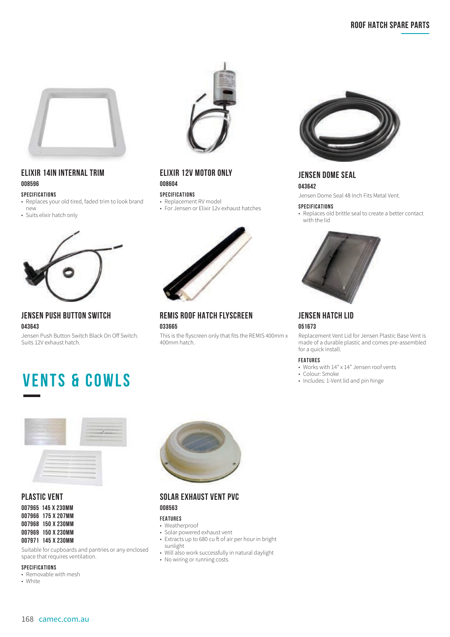

# **ELIXIR 14IN INTERNAL TRIM 008596**

### **SPECIFICATIONS**

- Replaces your old tired, faded trim to look brand new
- Suits elixir hatch only



# **JENSEN PUSH BUTTON SWITCH 043643**

Jensen Push Button Switch Black On Off Switch. Suits 12V exhaust hatch.



# **ELIXIR 12V MOTOR ONLY 008604**

#### **SPECIFICATIONS**

- Replacement RV model
- For Jensen or Elixir 12v exhaust hatches



**REMIS ROOF HATCH FLYSCREEN 033665**

This is the flyscreen only that fits the REMIS 400mm x 400mm hatch.



**JENSEN DOME SEAL 043642**

Jensen Dome Seal 48 Inch Fits Metal Vent.

#### **SPECIFICATIONS**

• Replaces old brittle seal to create a better contact with the lid



**JENSEN HATCH LID 051673**

Replacement Vent Lid for Jensen Plastic Base Vent is made of a durable plastic and comes pre-assembled for a quick install.

#### **FEATURES**

- Works with 14" x 14" Jensen roof vents
- 
- Colour: Smoke<br>• Includes: 1-Vent lid and pin hinge





# **PLASTIC VENT**

**007965 145 X 230MM 007966 175 X 207MM 007968 150 X 230MM 007969 150 X 230MM 007971 145 X 230MM**

Suitable for cupboards and pantries or any enclosed space that requires ventilation.

#### **SPECIFICATIONS**

- Removable with mesh
- White



# **SOLAR EXHAUST VENT PVC 008563**

### **FEATURES**

- Weatherproof
- Solar powered exhaust vent
- Extracts up to 680 cu ft of air per hour in bright sunlight
- Will also work successfully in natural daylight
- No wiring or running costs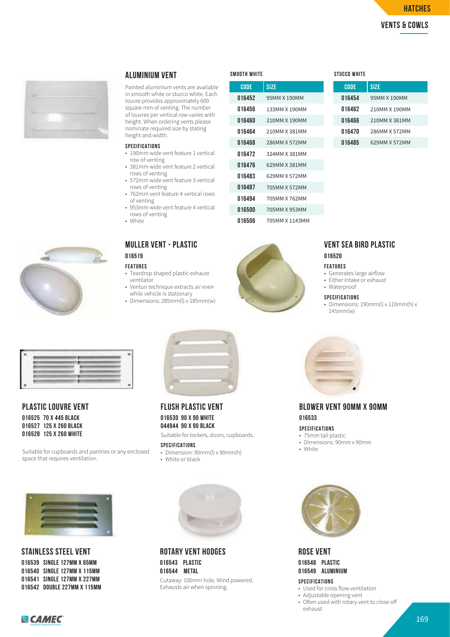# **ROOF HATCH SPARE PARTS vents & cowls hatches**



#### **ALUMINIUM VENT**

Painted aluminium vents are available in smooth white or stucco white. Each louvre provides approximately 600 square mm of venting. The number of louvres per vertical row varies with height. When ordering vents please nominate required size by stating height and width.

#### **SPECIFICATIONS**

- 190mm wide vent feature 1 vertical row of venting
- 381mm wide vent feature 2 vertical rows of venting • 572mm wide vent feature 3 vertical
- rows of venting • 762mm vent feature 4 vertical rows
- of venting • 953mm wide vent feature 4 vertical
- rows of venting • White
- 

#### **MULLER VENT - PLASTIC 016519**

#### **FEATURES**

- Teardrop shaped plastic exhaust ventilator
- Venturi technique extracts air even while vehicle is stationary
- Dimensions: 285mm(l) x 185mm(w)

| SMOOTH WHITE |                | STUCCO WHITE |
|--------------|----------------|--------------|
| <b>CODE</b>  | SIZE           | CODE         |
| 016452       | 95MM X 190MM   | 016454       |
| 016456       | 133MM X 190MM  | 016462       |
| 016460       | 210MM X 190MM  | 016466       |
| 016464       | 210MM X 381MM  | 016470       |
| 016468       | 286MM X 572MM  | 016485       |
| 016472       | 324MM X 381MM  |              |
| 016476       | 629MM X 381MM  |              |
| 016483       | 629MM X 572MM  |              |
| 016487       | 705MM X 572MM  |              |
| 016494       | 705MM X 762MM  |              |
| 016500       | 705MM X 953MM  |              |
| 016506       | 705MM X 1143MM |              |

| CODE   | <b>SIZE</b>   |
|--------|---------------|
| 016454 | 95MM X 190MM  |
| 016462 | 210MM X 190MM |
| 016466 | 210MM X 381MM |
| 016470 | 286MM X 572MM |
| 016485 | 629MM X 572MM |



#### **VENT SEA BIRD PLASTIC 016520**

#### **FEATURES**

- Generates large airflow
- Either intake or exhaust
- Waterproof

#### **SPECIFICATIONS**

• Dimensions: 190mm(l) x 110mm(h) x 145mm(w)



### **PLASTIC LOUVRE VENT 016525 70 X 445 BLACK 016527 125 X 260 BLACK**

**016528 125 X 260 WHITE**

Suitable for cupboards and pantries or any enclosed space that requires ventilation.



**STAINLESS STEEL VENT 016539 SINGLE 127MM X 65MM 016540 SINGLE 127MM X 115MM 016541 SINGLE 127MM X 227MM 016542 DOUBLE 227MM X 115MM**



**FLUSH PLASTIC VENT 016530 90 X 90 WHITE 044944 90 X 90 BLACK** Suitable for lockers, doors, cupboards.

**SPECIFICATIONS**

- Dimension: 90mm(l) x 90mm(h)
- White or black



**ROTARY VENT HODGES 016543 PLASTIC 016544 METAL** 

Cutaway: 100mm hole. Wind powered. Exhausts air when spinning.



# **BLOWER VENT 90MM X 90MM 016533**

#### **SPECIFICATIONS**

- 75mm tail plastic
- Dimensions: 90mm x 90mm
- White



**ROSE VENT 016548 PLASTIC 016549 ALUMINIUM SPECIFICATIONS**

- Used for cross flow ventilation
- Adjustable opening vent
- Often used with rotary vent to close off exhaust